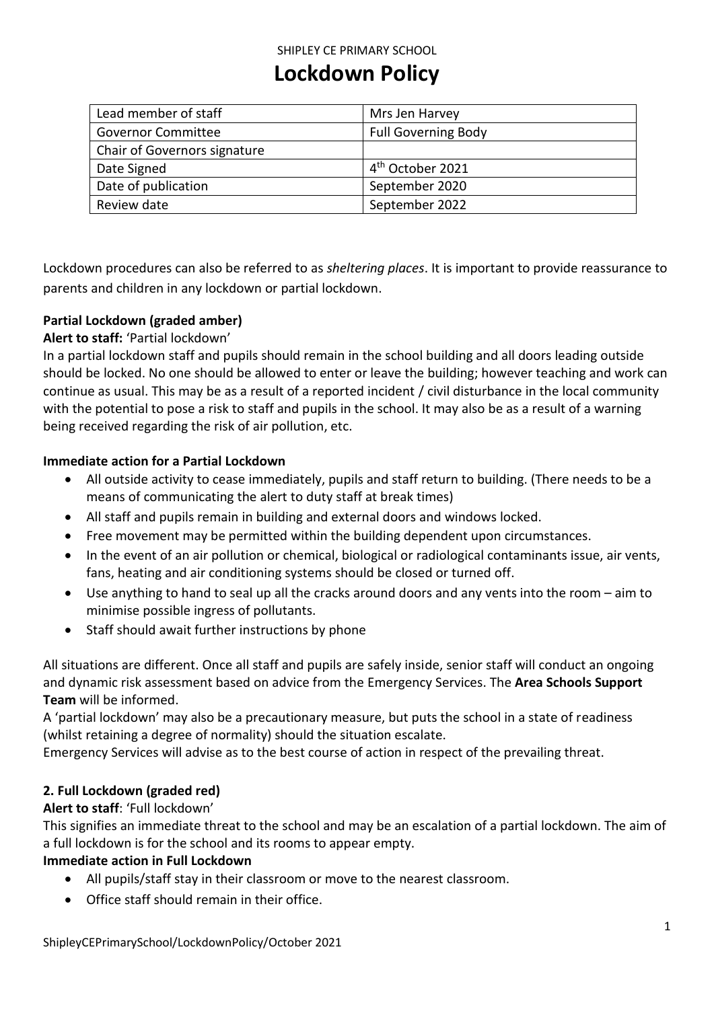## SHIPLEY CE PRIMARY SCHOOL

# **Lockdown Policy**

| Lead member of staff         | Mrs Jen Harvey               |
|------------------------------|------------------------------|
| <b>Governor Committee</b>    | <b>Full Governing Body</b>   |
| Chair of Governors signature |                              |
| Date Signed                  | 4 <sup>th</sup> October 2021 |
| Date of publication          | September 2020               |
| Review date                  | September 2022               |

Lockdown procedures can also be referred to as *sheltering places*. It is important to provide reassurance to parents and children in any lockdown or partial lockdown.

# **Partial Lockdown (graded amber)**

## **Alert to staff:** 'Partial lockdown'

In a partial lockdown staff and pupils should remain in the school building and all doors leading outside should be locked. No one should be allowed to enter or leave the building; however teaching and work can continue as usual. This may be as a result of a reported incident / civil disturbance in the local community with the potential to pose a risk to staff and pupils in the school. It may also be as a result of a warning being received regarding the risk of air pollution, etc.

#### **Immediate action for a Partial Lockdown**

- All outside activity to cease immediately, pupils and staff return to building. (There needs to be a means of communicating the alert to duty staff at break times)
- All staff and pupils remain in building and external doors and windows locked.
- Free movement may be permitted within the building dependent upon circumstances.
- In the event of an air pollution or chemical, biological or radiological contaminants issue, air vents, fans, heating and air conditioning systems should be closed or turned off.
- Use anything to hand to seal up all the cracks around doors and any vents into the room aim to minimise possible ingress of pollutants.
- Staff should await further instructions by phone

All situations are different. Once all staff and pupils are safely inside, senior staff will conduct an ongoing and dynamic risk assessment based on advice from the Emergency Services. The **Area Schools Support Team** will be informed.

A 'partial lockdown' may also be a precautionary measure, but puts the school in a state of readiness (whilst retaining a degree of normality) should the situation escalate.

Emergency Services will advise as to the best course of action in respect of the prevailing threat.

#### **2. Full Lockdown (graded red)**

#### **Alert to staff**: 'Full lockdown'

This signifies an immediate threat to the school and may be an escalation of a partial lockdown. The aim of a full lockdown is for the school and its rooms to appear empty.

# **Immediate action in Full Lockdown**

- All pupils/staff stay in their classroom or move to the nearest classroom.
- Office staff should remain in their office.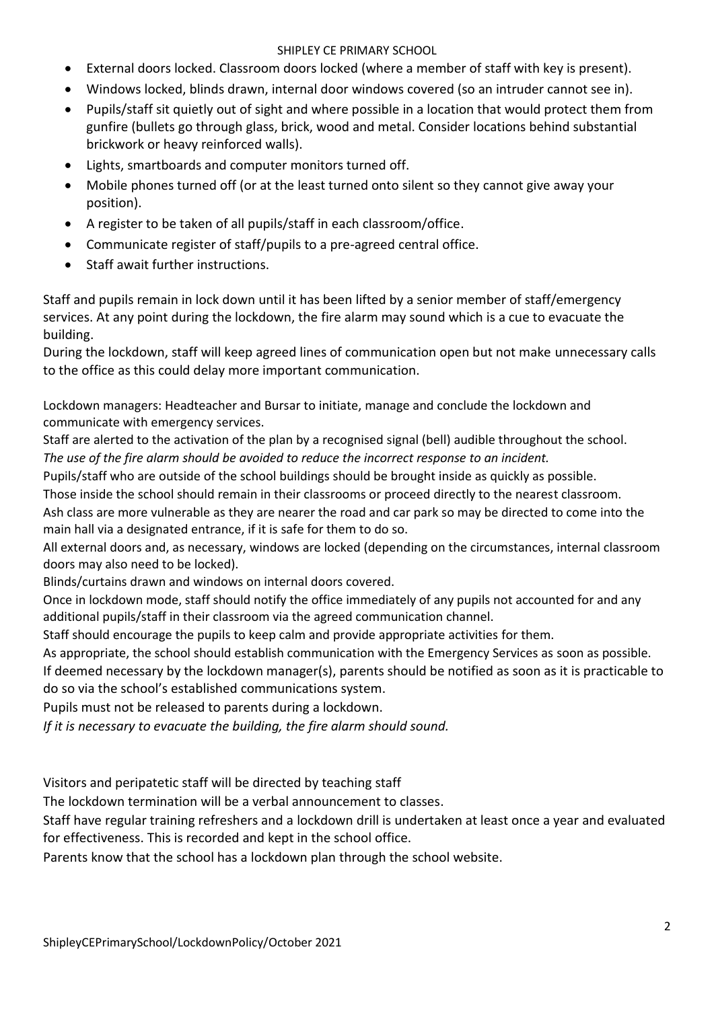## SHIPLEY CE PRIMARY SCHOOL

- External doors locked. Classroom doors locked (where a member of staff with key is present).
- Windows locked, blinds drawn, internal door windows covered (so an intruder cannot see in).
- Pupils/staff sit quietly out of sight and where possible in a location that would protect them from gunfire (bullets go through glass, brick, wood and metal. Consider locations behind substantial brickwork or heavy reinforced walls).
- Lights, smartboards and computer monitors turned off.
- Mobile phones turned off (or at the least turned onto silent so they cannot give away your position).
- A register to be taken of all pupils/staff in each classroom/office.
- Communicate register of staff/pupils to a pre-agreed central office.
- Staff await further instructions.

Staff and pupils remain in lock down until it has been lifted by a senior member of staff/emergency services. At any point during the lockdown, the fire alarm may sound which is a cue to evacuate the building.

During the lockdown, staff will keep agreed lines of communication open but not make unnecessary calls to the office as this could delay more important communication.

Lockdown managers: Headteacher and Bursar to initiate, manage and conclude the lockdown and communicate with emergency services.

Staff are alerted to the activation of the plan by a recognised signal (bell) audible throughout the school. *The use of the fire alarm should be avoided to reduce the incorrect response to an incident.* 

Pupils/staff who are outside of the school buildings should be brought inside as quickly as possible.

Those inside the school should remain in their classrooms or proceed directly to the nearest classroom.

Ash class are more vulnerable as they are nearer the road and car park so may be directed to come into the main hall via a designated entrance, if it is safe for them to do so.

All external doors and, as necessary, windows are locked (depending on the circumstances, internal classroom doors may also need to be locked).

Blinds/curtains drawn and windows on internal doors covered.

Once in lockdown mode, staff should notify the office immediately of any pupils not accounted for and any additional pupils/staff in their classroom via the agreed communication channel.

Staff should encourage the pupils to keep calm and provide appropriate activities for them.

As appropriate, the school should establish communication with the Emergency Services as soon as possible.

If deemed necessary by the lockdown manager(s), parents should be notified as soon as it is practicable to do so via the school's established communications system.

Pupils must not be released to parents during a lockdown.

*If it is necessary to evacuate the building, the fire alarm should sound.* 

Visitors and peripatetic staff will be directed by teaching staff

The lockdown termination will be a verbal announcement to classes.

Staff have regular training refreshers and a lockdown drill is undertaken at least once a year and evaluated for effectiveness. This is recorded and kept in the school office.

Parents know that the school has a lockdown plan through the school website.